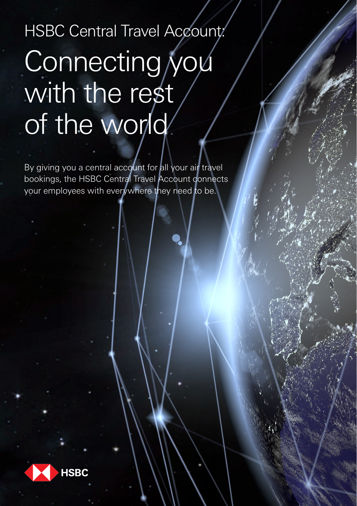## HSBC Central Travel Account: Connecting you with the rest of the world

By giving you a central account for all your air travel bookings, the HSBC Central Travel Account connects your employees with everywhere they need to be.

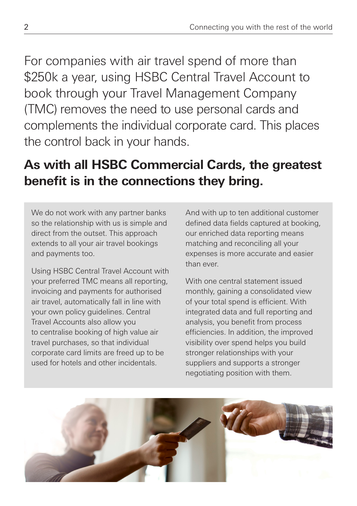For companies with air travel spend of more than \$250k a year, using HSBC Central Travel Account to book through your Travel Management Company (TMC) removes the need to use personal cards and complements the individual corporate card. This places the control back in your hands.

## **As with all HSBC Commercial Cards, the greatest benefit is in the connections they bring.**

We do not work with any partner banks so the relationship with us is simple and direct from the outset. This approach extends to all your air travel bookings and payments too.

Using HSBC Central Travel Account with your preferred TMC means all reporting, invoicing and payments for authorised air travel, automatically fall in line with your own policy guidelines. Central Travel Accounts also allow you to centralise booking of high value air travel purchases, so that individual corporate card limits are freed up to be used for hotels and other incidentals.

And with up to ten additional customer defined data fields captured at booking, our enriched data reporting means matching and reconciling all your expenses is more accurate and easier than ever.

With one central statement issued monthly, gaining a consolidated view of your total spend is efficient. With integrated data and full reporting and analysis, you benefit from process efficiencies. In addition, the improved visibility over spend helps you build stronger relationships with your suppliers and supports a stronger negotiating position with them.